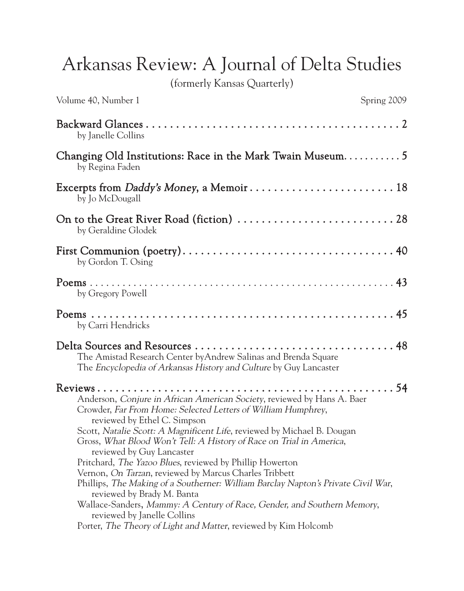Arkansas Review: A Journal of Delta Studies

(formerly Kansas Quarterly)

| Volume 40, Number 1                                                                                                                                                                                                                                                                                                                                                                                                                                                                                                                                                                                                                                                                                                                                                                    | Spring 2009 |
|----------------------------------------------------------------------------------------------------------------------------------------------------------------------------------------------------------------------------------------------------------------------------------------------------------------------------------------------------------------------------------------------------------------------------------------------------------------------------------------------------------------------------------------------------------------------------------------------------------------------------------------------------------------------------------------------------------------------------------------------------------------------------------------|-------------|
| by Janelle Collins                                                                                                                                                                                                                                                                                                                                                                                                                                                                                                                                                                                                                                                                                                                                                                     |             |
| Changing Old Institutions: Race in the Mark Twain Museum 5<br>by Regina Faden                                                                                                                                                                                                                                                                                                                                                                                                                                                                                                                                                                                                                                                                                                          |             |
| Excerpts from Daddy's Money, a Memoir 18<br>by Jo McDougall                                                                                                                                                                                                                                                                                                                                                                                                                                                                                                                                                                                                                                                                                                                            |             |
| by Geraldine Glodek                                                                                                                                                                                                                                                                                                                                                                                                                                                                                                                                                                                                                                                                                                                                                                    |             |
| by Gordon T. Osing                                                                                                                                                                                                                                                                                                                                                                                                                                                                                                                                                                                                                                                                                                                                                                     |             |
| by Gregory Powell                                                                                                                                                                                                                                                                                                                                                                                                                                                                                                                                                                                                                                                                                                                                                                      |             |
| by Carri Hendricks                                                                                                                                                                                                                                                                                                                                                                                                                                                                                                                                                                                                                                                                                                                                                                     |             |
| The Amistad Research Center by Andrew Salinas and Brenda Square<br>The Encyclopedia of Arkansas History and Culture by Guy Lancaster                                                                                                                                                                                                                                                                                                                                                                                                                                                                                                                                                                                                                                                   |             |
| Anderson, Conjure in African American Society, reviewed by Hans A. Baer<br>Crowder, Far From Home: Selected Letters of William Humphrey,<br>reviewed by Ethel C. Simpson<br>Scott, Natalie Scott: A Magnificent Life, reviewed by Michael B. Dougan<br>Gross, What Blood Won't Tell: A History of Race on Trial in America,<br>reviewed by Guy Lancaster<br>Pritchard, <i>The Yazoo Blues</i> , reviewed by Phillip Howerton<br>Vernon, On Tarzan, reviewed by Marcus Charles Tribbett<br>Phillips, The Making of a Southerner: William Barclay Napton's Private Civil War,<br>reviewed by Brady M. Banta<br>Wallace-Sanders, Mammy: A Century of Race, Gender, and Southern Memory,<br>reviewed by Janelle Collins<br>Porter, The Theory of Light and Matter, reviewed by Kim Holcomb |             |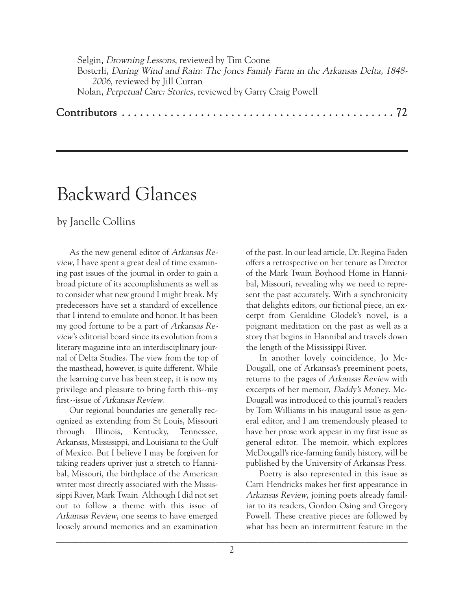Selgin, Drowning Lessons, reviewed by Tim Coone Bosterli, During Wind and Rain: The Jones Family Farm in the Arkansas Delta, 1848- 2006, reviewed by Jill Curran Nolan, Perpetual Care: Stories, reviewed by Garry Craig Powell

## Contributors . . . . . . . . . . . . . . . . . . . . . . . . . . . . . . . . . . . . . . . . . . . . . 72

## Backward Glances

by Janelle Collins

As the new general editor of Arkansas Review, I have spent a great deal of time examining past issues of the journal in order to gain a broad picture of its accomplishments as well as to consider what new ground I might break. My predecessors have set a standard of excellence that I intend to emulate and honor. It has been my good fortune to be a part of Arkansas Review's editorial board since its evolution from a literary magazine into an interdisciplinary journal of Delta Studies. The view from the top of the masthead, however, is quite different. While the learning curve has been steep, it is now my privilege and pleasure to bring forth this--my first--issue of Arkansas Review.

Our regional boundaries are generally recognized as extending from St Louis, Missouri through Illinois, Kentucky, Tennessee, Arkansas, Mississippi, and Louisiana to the Gulf of Mexico. But I believe I may be forgiven for taking readers upriver just a stretch to Hannibal, Missouri, the birthplace of the American writer most directly associated with the Mississippi River, Mark Twain. Although I did not set out to follow a theme with this issue of Arkansas Review, one seems to have emerged loosely around memories and an examination of the past. In our lead article, Dr. Regina Faden offers a retrospective on her tenure as Director of the Mark Twain Boyhood Home in Hannibal, Missouri, revealing why we need to represent the past accurately. With a synchronicity that delights editors, our fictional piece, an excerpt from Geraldine Glodek's novel, is a poignant meditation on the past as well as a story that begins in Hannibal and travels down the length of the Mississippi River.

In another lovely coincidence, Jo Mc-Dougall, one of Arkansas's preeminent poets, returns to the pages of Arkansas Review with excerpts of her memoir, Daddy's Money. Mc-Dougall was introduced to this journal's readers by Tom Williams in his inaugural issue as general editor, and I am tremendously pleased to have her prose work appear in my first issue as general editor. The memoir, which explores McDougall's rice-farming family history, will be published by the University of Arkansas Press.

Poetry is also represented in this issue as Carri Hendricks makes her first appearance in Arkansas Review, joining poets already familiar to its readers, Gordon Osing and Gregory Powell. These creative pieces are followed by what has been an intermittent feature in the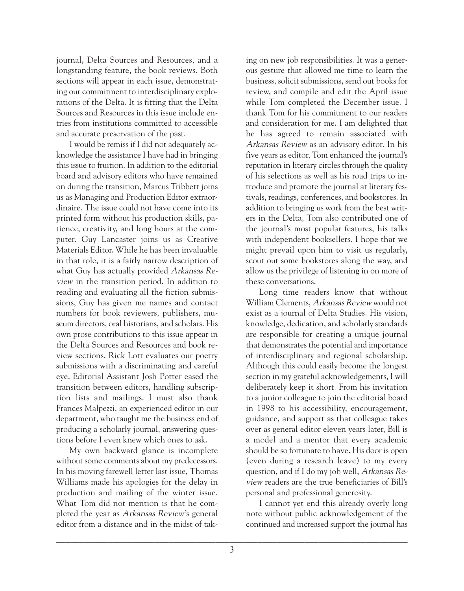journal, Delta Sources and Resources, and a longstanding feature, the book reviews. Both sections will appear in each issue, demonstrating our commitment to interdisciplinary explorations of the Delta. It is fitting that the Delta Sources and Resources in this issue include entries from institutions committed to accessible and accurate preservation of the past.

I would be remiss if I did not adequately acknowledge the assistance I have had in bringing this issue to fruition. In addition to the editorial board and advisory editors who have remained on during the transition, Marcus Tribbett joins us as Managing and Production Editor extraordinaire. The issue could not have come into its printed form without his production skills, patience, creativity, and long hours at the computer. Guy Lancaster joins us as Creative Materials Editor. While he has been invaluable in that role, it is a fairly narrow description of what Guy has actually provided Arkansas Review in the transition period. In addition to reading and evaluating all the fiction submissions, Guy has given me names and contact numbers for book reviewers, publishers, museum directors, oral historians, and scholars. His own prose contributions to this issue appear in the Delta Sources and Resources and book review sections. Rick Lott evaluates our poetry submissions with a discriminating and careful eye. Editorial Assistant Josh Potter eased the transition between editors, handling subscription lists and mailings. I must also thank Frances Malpezzi, an experienced editor in our department, who taught me the business end of producing a scholarly journal, answering questions before I even knew which ones to ask.

My own backward glance is incomplete without some comments about my predecessors. In his moving farewell letter last issue, Thomas Williams made his apologies for the delay in production and mailing of the winter issue. What Tom did not mention is that he completed the year as Arkansas Review's general editor from a distance and in the midst of tak-

ing on new job responsibilities. It was a generous gesture that allowed me time to learn the business, solicit submissions, send out books for review, and compile and edit the April issue while Tom completed the December issue. I thank Tom for his commitment to our readers and consideration for me. I am delighted that he has agreed to remain associated with Arkansas Review as an advisory editor. In his five years as editor, Tom enhanced the journal's reputation in literary circles through the quality of his selections as well as his road trips to introduce and promote the journal at literary festivals, readings, conferences, and bookstores. In addition to bringing us work from the best writers in the Delta, Tom also contributed one of the journal's most popular features, his talks with independent booksellers. I hope that we might prevail upon him to visit us regularly, scout out some bookstores along the way, and allow us the privilege of listening in on more of these conversations.

Long time readers know that without William Clements, Arkansas Review would not exist as a journal of Delta Studies. His vision, knowledge, dedication, and scholarly standards are responsible for creating a unique journal that demonstrates the potential and importance of interdisciplinary and regional scholarship. Although this could easily become the longest section in my grateful acknowledgements, I will deliberately keep it short. From his invitation to a junior colleague to join the editorial board in 1998 to his accessibility, encouragement, guidance, and support as that colleague takes over as general editor eleven years later, Bill is a model and a mentor that every academic should be so fortunate to have. His door is open (even during a research leave) to my every question, and if I do my job well, Arkansas Review readers are the true beneficiaries of Bill's personal and professional generosity.

I cannot yet end this already overly long note without public acknowledgement of the continued and increased support the journal has